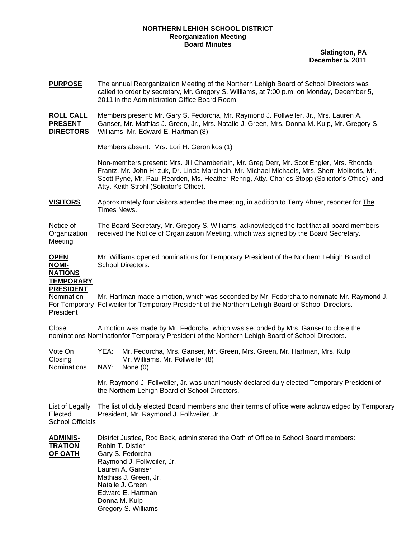## **NORTHERN LEHIGH SCHOOL DISTRICT Reorganization Meeting Board Minutes**

**Slatington, PA December 5, 2011**

**PURPOSE** The annual Reorganization Meeting of the Northern Lehigh Board of School Directors was called to order by secretary, Mr. Gregory S. Williams, at 7:00 p.m. on Monday, December 5, 2011 in the Administration Office Board Room.

**ROLL CALL** Members present: Mr. Gary S. Fedorcha, Mr. Raymond J. Follweiler, Jr., Mrs. Lauren A. **PRESENT** Ganser, Mr. Mathias J. Green, Jr., Mrs. Natalie J. Green, Mrs. Donna M. Kulp, Mr. Gregory S. **DIRECTORS** Williams, Mr. Edward E. Hartman (8)

Members absent: Mrs. Lori H. Geronikos (1)

Non-members present: Mrs. Jill Chamberlain, Mr. Greg Derr, Mr. Scot Engler, Mrs. Rhonda Frantz, Mr. John Hrizuk, Dr. Linda Marcincin, Mr. Michael Michaels, Mrs. Sherri Molitoris, Mr. Scott Pyne, Mr. Paul Rearden, Ms. Heather Rehrig, Atty. Charles Stopp (Solicitor's Office), and Atty. Keith Strohl (Solicitor's Office).

**VISITORS** Approximately four visitors attended the meeting, in addition to Terry Ahner, reporter for The Times News.

Notice of The Board Secretary, Mr. Gregory S. Williams, acknowledged the fact that all board members Organization received the Notice of Organization Meeting, which was signed by the Board Secretary. Meeting

**OPEN** Mr. Williams opened nominations for Temporary President of the Northern Lehigh Board of **NOMI-** School Directors.

## **NATIONS TEMPORARY**

**PRESIDENT**

Nomination Mr. Hartman made a motion, which was seconded by Mr. Fedorcha to nominate Mr. Raymond J. For Temporary Follweiler for Temporary President of the Northern Lehigh Board of School Directors. President

Close A motion was made by Mr. Fedorcha, which was seconded by Mrs. Ganser to close the nominations Nomination for Temporary President of the Northern Lehigh Board of School Directors.

| Vote On                   | YEA: Mr. Fedorcha, Mrs. Ganser, Mr. Green, Mrs. Green, Mr. Hartman, Mrs. Kulp, |
|---------------------------|--------------------------------------------------------------------------------|
| Closing                   | Mr. Williams, Mr. Follweiler (8)                                               |
| Nominations NAY: None (0) |                                                                                |

Mr. Raymond J. Follweiler, Jr. was unanimously declared duly elected Temporary President of the Northern Lehigh Board of School Directors.

List of Legally The list of duly elected Board members and their terms of office were acknowledged by Temporary Elected President, Mr. Raymond J. Follweiler, Jr. School Officials

| <b>ADMINIS-</b> | District Justice, Rod Beck, administered the Oath of Office to School Board members: |
|-----------------|--------------------------------------------------------------------------------------|
| <b>TRATION</b>  | Robin T. Distler                                                                     |
| <b>OF OATH</b>  | Gary S. Fedorcha                                                                     |
|                 | Raymond J. Follweiler, Jr.                                                           |
|                 | Lauren A. Ganser                                                                     |
|                 | Mathias J. Green, Jr.                                                                |
|                 | Natalie J. Green                                                                     |
|                 | Edward E. Hartman                                                                    |
|                 | Donna M. Kulp                                                                        |
|                 | Gregory S. Williams                                                                  |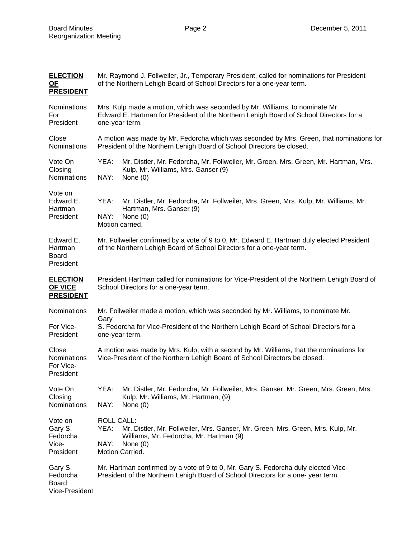| <b>ELECTION</b><br><b>OF</b><br><b>PRESIDENT</b>      | Mr. Raymond J. Follweiler, Jr., Temporary President, called for nominations for President<br>of the Northern Lehigh Board of School Directors for a one-year term.                                   |  |  |
|-------------------------------------------------------|------------------------------------------------------------------------------------------------------------------------------------------------------------------------------------------------------|--|--|
| Nominations<br>For<br>President                       | Mrs. Kulp made a motion, which was seconded by Mr. Williams, to nominate Mr.<br>Edward E. Hartman for President of the Northern Lehigh Board of School Directors for a<br>one-year term.             |  |  |
| Close<br>Nominations                                  | A motion was made by Mr. Fedorcha which was seconded by Mrs. Green, that nominations for<br>President of the Northern Lehigh Board of School Directors be closed.                                    |  |  |
| Vote On<br>Closing<br><b>Nominations</b>              | YEA:<br>Mr. Distler, Mr. Fedorcha, Mr. Follweiler, Mr. Green, Mrs. Green, Mr. Hartman, Mrs.<br>Kulp, Mr. Williams, Mrs. Ganser (9)<br>NAY:<br>None $(0)$                                             |  |  |
| Vote on<br>Edward E.<br>Hartman<br>President          | YEA:<br>Mr. Distler, Mr. Fedorcha, Mr. Follweiler, Mrs. Green, Mrs. Kulp, Mr. Williams, Mr.<br>Hartman, Mrs. Ganser (9)<br>NAY:<br>None $(0)$<br>Motion carried.                                     |  |  |
| Edward E.<br>Hartman<br><b>Board</b><br>President     | Mr. Follweiler confirmed by a vote of 9 to 0, Mr. Edward E. Hartman duly elected President<br>of the Northern Lehigh Board of School Directors for a one-year term.                                  |  |  |
| <b>ELECTION</b><br><b>OF VICE</b><br><b>PRESIDENT</b> | President Hartman called for nominations for Vice-President of the Northern Lehigh Board of<br>School Directors for a one-year term.                                                                 |  |  |
| Nominations<br>For Vice-<br>President                 | Mr. Follweiler made a motion, which was seconded by Mr. Williams, to nominate Mr.<br>Gary<br>S. Fedorcha for Vice-President of the Northern Lehigh Board of School Directors for a<br>one-year term. |  |  |
| Close<br>Nominations<br>For Vice-<br>President        | A motion was made by Mrs. Kulp, with a second by Mr. Williams, that the nominations for<br>Vice-President of the Northern Lehigh Board of School Directors be closed.                                |  |  |
| Vote On<br>Closing<br>Nominations                     | YEA:<br>Mr. Distler, Mr. Fedorcha, Mr. Follweiler, Mrs. Ganser, Mr. Green, Mrs. Green, Mrs.<br>Kulp, Mr. Williams, Mr. Hartman, (9)<br>NAY:<br>None $(0)$                                            |  |  |
| Vote on<br>Gary S.<br>Fedorcha<br>Vice-<br>President  | <b>ROLL CALL:</b><br>YEA:<br>Mr. Distler, Mr. Follweiler, Mrs. Ganser, Mr. Green, Mrs. Green, Mrs. Kulp, Mr.<br>Williams, Mr. Fedorcha, Mr. Hartman (9)<br>NAY:<br>None $(0)$<br>Motion Carried.     |  |  |
| Gary S.<br>Fedorcha<br>Board<br>Vice-President        | Mr. Hartman confirmed by a vote of 9 to 0, Mr. Gary S. Fedorcha duly elected Vice-<br>President of the Northern Lehigh Board of School Directors for a one-year term.                                |  |  |